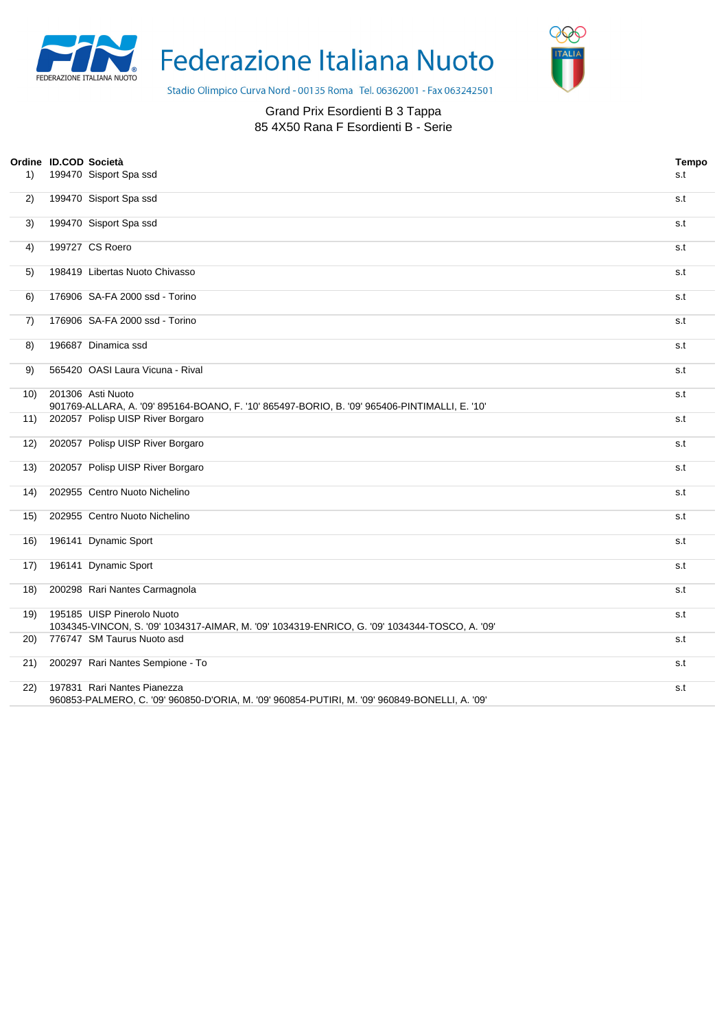

Federazione Italiana Nuoto



Stadio Olimpico Curva Nord - 00135 Roma Tel. 06362001 - Fax 063242501

## Grand Prix Esordienti B 3 Tappa 85 4X50 Rana F Esordienti B - Serie

| 1)   | Ordine ID.COD Società | 199470 Sisport Spa ssd                                                                                                       | <b>Tempo</b><br>s.t |
|------|-----------------------|------------------------------------------------------------------------------------------------------------------------------|---------------------|
| 2)   |                       | 199470 Sisport Spa ssd                                                                                                       | s.t                 |
| 3)   |                       | 199470 Sisport Spa ssd                                                                                                       | s.t                 |
| 4)   |                       | 199727 CS Roero                                                                                                              | s.t                 |
| 5)   |                       | 198419 Libertas Nuoto Chivasso                                                                                               | s.t                 |
| 6)   |                       | 176906 SA-FA 2000 ssd - Torino                                                                                               | s.t                 |
| 7)   |                       | 176906 SA-FA 2000 ssd - Torino                                                                                               | s.t                 |
| 8)   |                       | 196687 Dinamica ssd                                                                                                          | s.t                 |
| 9)   |                       | 565420 OASI Laura Vicuna - Rival                                                                                             | s.t                 |
| 10)  |                       | 201306 Asti Nuoto<br>901769-ALLARA, A. '09' 895164-BOANO, F. '10' 865497-BORIO, B. '09' 965406-PINTIMALLI, E. '10'           | s.t                 |
| 11)  |                       | 202057 Polisp UISP River Borgaro                                                                                             | s.t                 |
| 12)  |                       | 202057 Polisp UISP River Borgaro                                                                                             | s.t                 |
| 13)  |                       | 202057 Polisp UISP River Borgaro                                                                                             | s.t                 |
| (14) |                       | 202955 Centro Nuoto Nichelino                                                                                                | s.t                 |
| 15)  |                       | 202955 Centro Nuoto Nichelino                                                                                                | s.t                 |
| 16)  |                       | 196141 Dynamic Sport                                                                                                         | s.t                 |
| 17)  |                       | 196141 Dynamic Sport                                                                                                         | s.t                 |
| 18)  |                       | 200298 Rari Nantes Carmagnola                                                                                                | s.t                 |
| 19)  |                       | 195185 UISP Pinerolo Nuoto<br>1034345-VINCON, S. '09' 1034317-AIMAR, M. '09' 1034319-ENRICO, G. '09' 1034344-TOSCO, A. '09'  | s.t                 |
| 20)  |                       | 776747 SM Taurus Nuoto asd                                                                                                   | s.t                 |
| 21)  |                       | 200297 Rari Nantes Sempione - To                                                                                             | s.t                 |
| (22) |                       | 197831 Rari Nantes Pianezza<br>960853-PALMERO, C. '09' 960850-D'ORIA, M. '09' 960854-PUTIRI, M. '09' 960849-BONELLI, A. '09' | s.t                 |